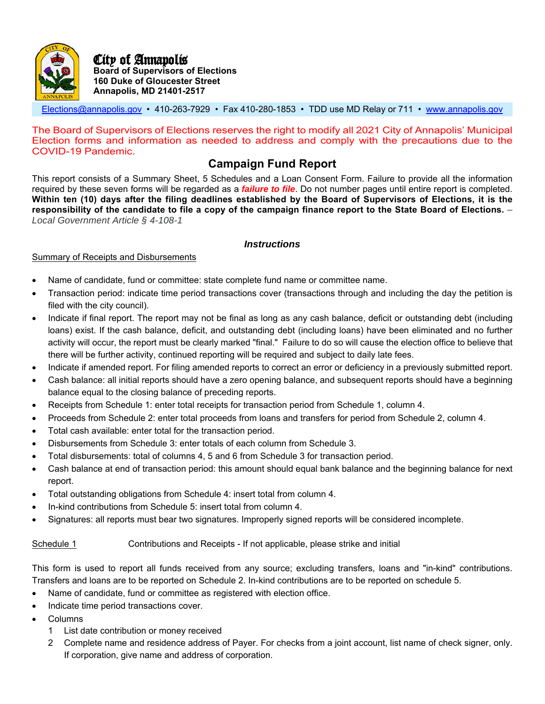

Elections@annapolis.gov • 410-263-7929 • Fax 410-280-1853 • TDD use MD Relay or 711 • www.annapolis.gov

The Board of Supervisors of Elections reserves the right to modify all 2021 City of Annapolis' Municipal Election forms and information as needed to address and comply with the precautions due to the COVID-19 Pandemic.

## **Campaign Fund Report**

This report consists of a Summary Sheet, 5 Schedules and a Loan Consent Form. Failure to provide all the information required by these seven forms will be regarded as a *failure to file*. Do not number pages until entire report is completed. **Within ten (10) days after the filing deadlines established by the Board of Supervisors of Elections, it is the responsibility of the candidate to file a copy of the campaign finance report to the State Board of Elections.** *– Local Government Article § 4-108-1*

### *Instructions*

### Summary of Receipts and Disbursements

- Name of candidate, fund or committee: state complete fund name or committee name.
- Transaction period: indicate time period transactions cover (transactions through and including the day the petition is filed with the city council).
- Indicate if final report. The report may not be final as long as any cash balance, deficit or outstanding debt (including loans) exist. If the cash balance, deficit, and outstanding debt (including loans) have been eliminated and no further activity will occur, the report must be clearly marked "final." Failure to do so will cause the election office to believe that there will be further activity, continued reporting will be required and subject to daily late fees.
- Indicate if amended report. For filing amended reports to correct an error or deficiency in a previously submitted report.
- Cash balance: all initial reports should have a zero opening balance, and subsequent reports should have a beginning balance equal to the closing balance of preceding reports.
- Receipts from Schedule 1: enter total receipts for transaction period from Schedule 1, column 4.
- Proceeds from Schedule 2: enter total proceeds from loans and transfers for period from Schedule 2, column 4.
- Total cash available: enter total for the transaction period.
- Disbursements from Schedule 3: enter totals of each column from Schedule 3.
- Total disbursements: total of columns 4, 5 and 6 from Schedule 3 for transaction period.
- Cash balance at end of transaction period: this amount should equal bank balance and the beginning balance for next report.
- Total outstanding obligations from Schedule 4: insert total from column 4.
- In-kind contributions from Schedule 5: insert total from column 4.
- Signatures: all reports must bear two signatures. Improperly signed reports will be considered incomplete.

### Schedule 1 Contributions and Receipts - If not applicable, please strike and initial

This form is used to report all funds received from any source; excluding transfers, loans and "in-kind" contributions. Transfers and loans are to be reported on Schedule 2. In-kind contributions are to be reported on schedule 5.

- Name of candidate, fund or committee as registered with election office.
- Indicate time period transactions cover.
- Columns
	- 1 List date contribution or money received
	- 2 Complete name and residence address of Payer. For checks from a joint account, list name of check signer, only. If corporation, give name and address of corporation.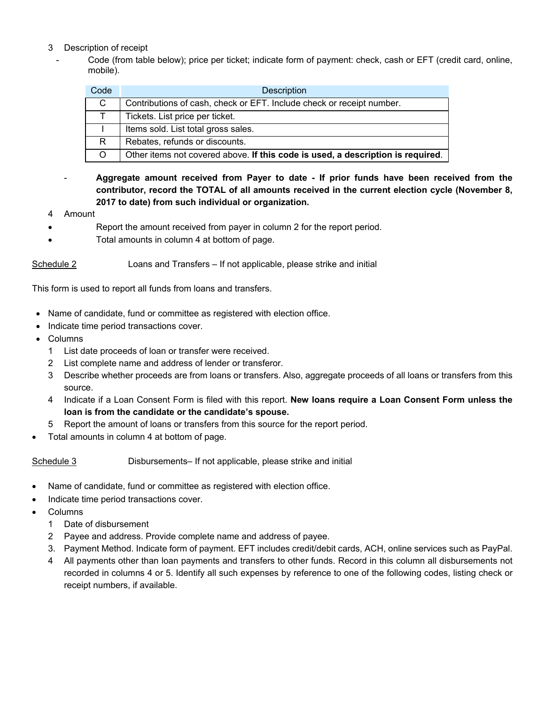- 3 Description of receipt
	- Code (from table below); price per ticket; indicate form of payment: check, cash or EFT (credit card, online, mobile).

| Code | <b>Description</b>                                                              |
|------|---------------------------------------------------------------------------------|
| C.   | Contributions of cash, check or EFT. Include check or receipt number.           |
| T    | Tickets. List price per ticket.                                                 |
|      | Items sold. List total gross sales.                                             |
| R.   | Rebates, refunds or discounts.                                                  |
|      | Other items not covered above. If this code is used, a description is required. |

- **Aggregate amount received from Payer to date - If prior funds have been received from the contributor, record the TOTAL of all amounts received in the current election cycle (November 8, 2017 to date) from such individual or organization.** 

- 4 Amount
- Report the amount received from payer in column 2 for the report period.
- Total amounts in column 4 at bottom of page.

Schedule 2 Loans and Transfers – If not applicable, please strike and initial

This form is used to report all funds from loans and transfers.

- Name of candidate, fund or committee as registered with election office.
- Indicate time period transactions cover.
- Columns
	- 1 List date proceeds of loan or transfer were received.
	- 2 List complete name and address of lender or transferor.
	- 3 Describe whether proceeds are from loans or transfers. Also, aggregate proceeds of all loans or transfers from this source.
	- 4 Indicate if a Loan Consent Form is filed with this report. **New loans require a Loan Consent Form unless the loan is from the candidate or the candidate's spouse.**
	- 5 Report the amount of loans or transfers from this source for the report period.
- Total amounts in column 4 at bottom of page.

Schedule 3 Disbursements– If not applicable, please strike and initial

- Name of candidate, fund or committee as registered with election office.
- Indicate time period transactions cover.
- Columns
	- 1 Date of disbursement
	- 2 Payee and address. Provide complete name and address of payee.
	- 3. Payment Method. Indicate form of payment. EFT includes credit/debit cards, ACH, online services such as PayPal.
	- 4 All payments other than loan payments and transfers to other funds. Record in this column all disbursements not recorded in columns 4 or 5. Identify all such expenses by reference to one of the following codes, listing check or receipt numbers, if available.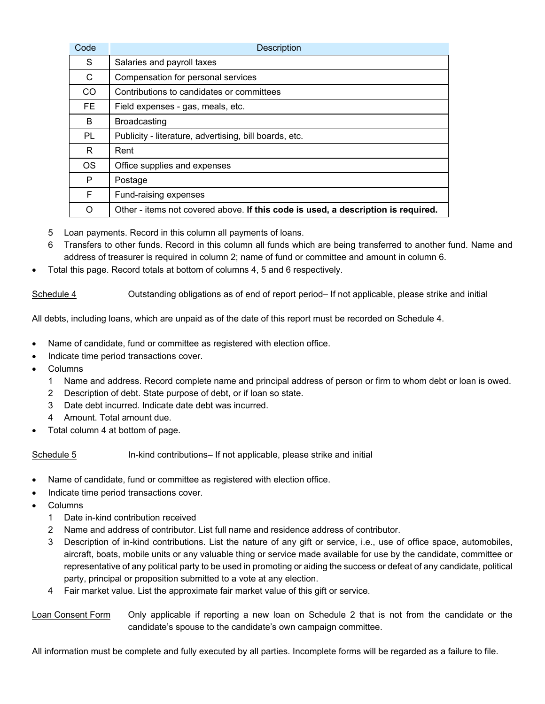| Code      | Description                                                                       |
|-----------|-----------------------------------------------------------------------------------|
| S         | Salaries and payroll taxes                                                        |
| C.        | Compensation for personal services                                                |
| CO.       | Contributions to candidates or committees                                         |
| FE.       | Field expenses - gas, meals, etc.                                                 |
| B.        | <b>Broadcasting</b>                                                               |
| <b>PL</b> | Publicity - literature, advertising, bill boards, etc.                            |
| R.        | Rent                                                                              |
| <b>OS</b> | Office supplies and expenses                                                      |
| P         | Postage                                                                           |
| F.        | Fund-raising expenses                                                             |
| ∩         | Other - items not covered above. If this code is used, a description is required. |

- 5 Loan payments. Record in this column all payments of loans.
- 6 Transfers to other funds. Record in this column all funds which are being transferred to another fund. Name and address of treasurer is required in column 2; name of fund or committee and amount in column 6.
- Total this page. Record totals at bottom of columns 4, 5 and 6 respectively.

Schedule 4 Outstanding obligations as of end of report period– If not applicable, please strike and initial

All debts, including loans, which are unpaid as of the date of this report must be recorded on Schedule 4.

- Name of candidate, fund or committee as registered with election office.
- Indicate time period transactions cover.
- Columns
	- 1 Name and address. Record complete name and principal address of person or firm to whom debt or loan is owed.
	- 2 Description of debt. State purpose of debt, or if loan so state.
	- 3 Date debt incurred. Indicate date debt was incurred.
	- 4 Amount. Total amount due.
- Total column 4 at bottom of page.

Schedule 5 **In-kind contributions– If not applicable**, please strike and initial

- Name of candidate, fund or committee as registered with election office.
- Indicate time period transactions cover.
- Columns
	- 1 Date in-kind contribution received
	- 2 Name and address of contributor. List full name and residence address of contributor.
	- 3 Description of in-kind contributions. List the nature of any gift or service, i.e., use of office space, automobiles, aircraft, boats, mobile units or any valuable thing or service made available for use by the candidate, committee or representative of any political party to be used in promoting or aiding the success or defeat of any candidate, political party, principal or proposition submitted to a vote at any election.
	- 4 Fair market value. List the approximate fair market value of this gift or service.
- Loan Consent Form Only applicable if reporting a new loan on Schedule 2 that is not from the candidate or the candidate's spouse to the candidate's own campaign committee.

All information must be complete and fully executed by all parties. Incomplete forms will be regarded as a failure to file.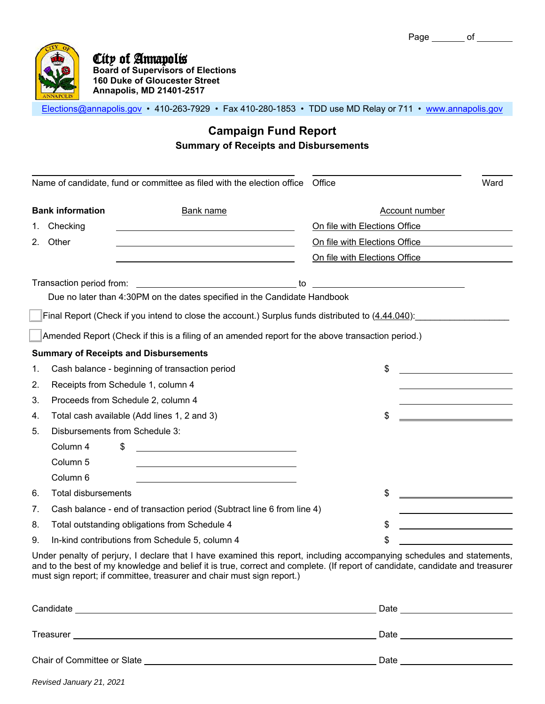

Elections@annapolis.gov • 410-263-7929 • Fax 410-280-1853 • TDD use MD Relay or 711 • www.annapolis.gov

## **Campaign Fund Report Summary of Receipts and Disbursements**

|                |                                | Name of candidate, fund or committee as filed with the election office Office                                                                                                                          |                                           | Ward                                           |
|----------------|--------------------------------|--------------------------------------------------------------------------------------------------------------------------------------------------------------------------------------------------------|-------------------------------------------|------------------------------------------------|
|                | <b>Bank information</b>        | <b>Bank name</b>                                                                                                                                                                                       |                                           | <b>Account number</b>                          |
| 1.             | Checking                       |                                                                                                                                                                                                        | On file with Elections Office             |                                                |
| 2 <sub>1</sub> | Other                          |                                                                                                                                                                                                        | On file with Elections Office             |                                                |
|                |                                |                                                                                                                                                                                                        | On file with Elections Office             |                                                |
|                | Transaction period from:       | Due no later than 4:30PM on the dates specified in the Candidate Handbook                                                                                                                              | <u> 2000 - Andrea Andrew Maria (h. 18</u> |                                                |
|                |                                | Final Report (Check if you intend to close the account.) Surplus funds distributed to (4.44.040):<br>Amended Report (Check if this is a filing of an amended report for the above transaction period.) |                                           |                                                |
|                |                                | <b>Summary of Receipts and Disbursements</b>                                                                                                                                                           |                                           |                                                |
| 1.             |                                | Cash balance - beginning of transaction period                                                                                                                                                         | \$                                        |                                                |
| 2.             |                                | Receipts from Schedule 1, column 4                                                                                                                                                                     |                                           |                                                |
| 3.             |                                | Proceeds from Schedule 2, column 4                                                                                                                                                                     |                                           |                                                |
| 4.             |                                | Total cash available (Add lines 1, 2 and 3)                                                                                                                                                            | \$                                        | <u> 1989 - Johann Barnett, fransk kongresu</u> |
| 5.             | Disbursements from Schedule 3: |                                                                                                                                                                                                        |                                           |                                                |
|                | Column 4                       | \$<br><u> 1980 - Johann Barbara, martin amerikan basar da</u>                                                                                                                                          |                                           |                                                |
|                | Column <sub>5</sub>            |                                                                                                                                                                                                        |                                           |                                                |
|                | Column 6                       |                                                                                                                                                                                                        |                                           |                                                |
| 6.             | <b>Total disbursements</b>     |                                                                                                                                                                                                        | \$                                        |                                                |
| 7.             |                                | Cash balance - end of transaction period (Subtract line 6 from line 4)                                                                                                                                 |                                           |                                                |
| 8.             |                                | Total outstanding obligations from Schedule 4                                                                                                                                                          | \$                                        |                                                |
| 9.             |                                | In-kind contributions from Schedule 5, column 4                                                                                                                                                        | \$                                        |                                                |

Under penalty of perjury, I declare that I have examined this report, including accompanying schedules and statements, and to the best of my knowledge and belief it is true, correct and complete. (If report of candidate, candidate and treasurer must sign report; if committee, treasurer and chair must sign report.)

| Candidate                   | Date |
|-----------------------------|------|
|                             |      |
| Treasurer                   | Date |
|                             |      |
| Chair of Committee or Slate | Date |
|                             |      |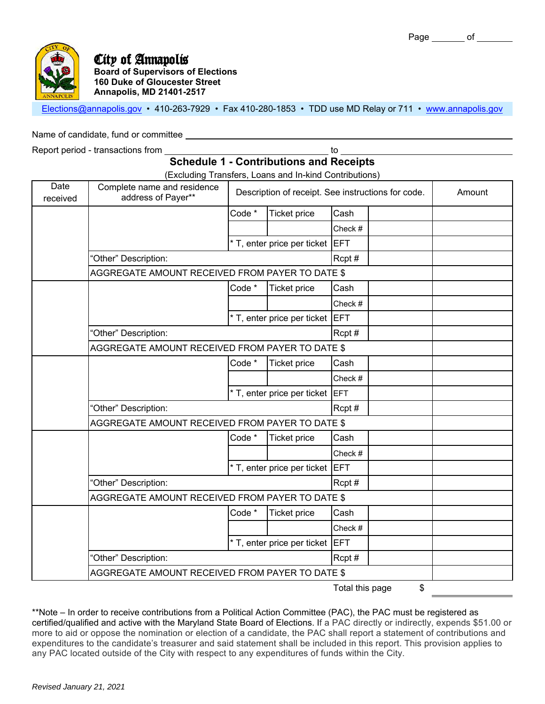Elections@annapolis.gov • 410-263-7929 • Fax 410-280-1853 • TDD use MD Relay or 711 • www.annapolis.gov

Name of candidate, fund or committee

Report period - transactions from the state of the state of the state of the state of the state of the state of the state of the state of the state of the state of the state of the state of the state of the state of the st

## **Schedule 1 - Contributions and Receipts**

(Excluding Transfers, Loans and In-kind Contributions)

| Date<br>received | Complete name and residence<br>address of Payer** |        | TENDICATION TRANSPORTS CORTIG THE NITRE CONTRIBUING | Description of receipt. See instructions for code. | Amount |
|------------------|---------------------------------------------------|--------|-----------------------------------------------------|----------------------------------------------------|--------|
|                  |                                                   | Code * | <b>Ticket price</b>                                 | Cash                                               |        |
|                  |                                                   |        |                                                     | Check #                                            |        |
|                  |                                                   |        | * T, enter price per ticket EFT                     |                                                    |        |
|                  | "Other" Description:                              |        |                                                     | Rcpt#                                              |        |
|                  | AGGREGATE AMOUNT RECEIVED FROM PAYER TO DATE \$   |        |                                                     |                                                    |        |
|                  |                                                   | Code * | <b>Ticket price</b>                                 | Cash                                               |        |
|                  |                                                   |        |                                                     | Check #                                            |        |
|                  |                                                   |        | * T, enter price per ticket                         | <b>EFT</b>                                         |        |
|                  | "Other" Description:                              |        |                                                     | Rcpt#                                              |        |
|                  | AGGREGATE AMOUNT RECEIVED FROM PAYER TO DATE \$   |        |                                                     |                                                    |        |
|                  |                                                   | Code * | <b>Ticket price</b>                                 | Cash                                               |        |
|                  |                                                   |        |                                                     | Check #                                            |        |
|                  |                                                   |        | * T, enter price per ticket EFT                     |                                                    |        |
|                  | "Other" Description:                              |        |                                                     | Rcpt#                                              |        |
|                  | AGGREGATE AMOUNT RECEIVED FROM PAYER TO DATE \$   |        |                                                     |                                                    |        |
|                  |                                                   | Code * | Ticket price                                        | Cash                                               |        |
|                  |                                                   |        |                                                     | Check #                                            |        |
|                  |                                                   |        | * T, enter price per ticket                         | <b>IEFT</b>                                        |        |
|                  | "Other" Description:                              |        |                                                     | Rcpt#                                              |        |
|                  | AGGREGATE AMOUNT RECEIVED FROM PAYER TO DATE \$   |        |                                                     |                                                    |        |
|                  |                                                   | Code * | <b>Ticket price</b>                                 | Cash                                               |        |
|                  |                                                   |        |                                                     | Check #                                            |        |
|                  |                                                   |        | * T, enter price per ticket                         | <b>EFT</b>                                         |        |
|                  | "Other" Description:                              |        |                                                     | Rcpt#                                              |        |
|                  | AGGREGATE AMOUNT RECEIVED FROM PAYER TO DATE \$   |        |                                                     |                                                    |        |
|                  |                                                   |        |                                                     | \$<br>Total this page                              |        |

\*\*Note – In order to receive contributions from a Political Action Committee (PAC), the PAC must be registered as certified/qualified and active with the Maryland State Board of Elections. If a PAC directly or indirectly, expends \$51.00 or more to aid or oppose the nomination or election of a candidate, the PAC shall report a statement of contributions and expenditures to the candidate's treasurer and said statement shall be included in this report. This provision applies to any PAC located outside of the City with respect to any expenditures of funds within the City.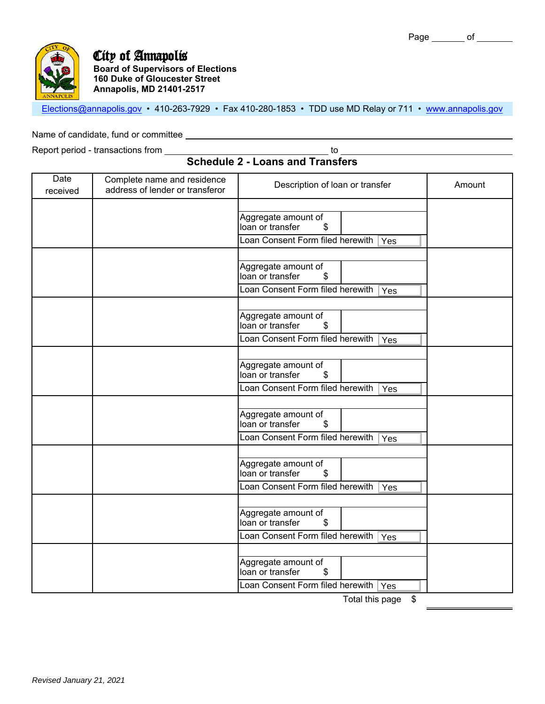

## City of Annapolis

**Board of Supervisors of Elections 160 Duke of Gloucester Street Annapolis, MD 21401-2517**

Elections@annapolis.gov • 410-263-7929 • Fax 410-280-1853 • TDD use MD Relay or 711 • www.annapolis.gov

Name of candidate, fund or committee

Report period - transactions from to

**Schedule 2 - Loans and Transfers**

| Date<br>received | Complete name and residence<br>address of lender or transferor | Description of loan or transfer                                                          | Amount |
|------------------|----------------------------------------------------------------|------------------------------------------------------------------------------------------|--------|
|                  |                                                                |                                                                                          |        |
|                  |                                                                | Aggregate amount of<br>loan or transfer<br>\$                                            |        |
|                  |                                                                | Loan Consent Form filed herewith Yes                                                     |        |
|                  |                                                                | Aggregate amount of<br>loan or transfer<br>\$                                            |        |
|                  |                                                                | Loan Consent Form filed herewith<br>Yes                                                  |        |
|                  |                                                                | Aggregate amount of<br>loan or transfer<br>\$                                            |        |
|                  |                                                                | Loan Consent Form filed herewith Yes                                                     |        |
|                  |                                                                | Aggregate amount of<br>loan or transfer<br>\$                                            |        |
|                  |                                                                | Loan Consent Form filed herewith<br>Yes                                                  |        |
|                  |                                                                |                                                                                          |        |
|                  |                                                                | Aggregate amount of<br>loan or transfer<br>\$                                            |        |
|                  |                                                                | Loan Consent Form filed herewith Ves                                                     |        |
|                  |                                                                | Aggregate amount of<br>loan or transfer<br>\$                                            |        |
|                  |                                                                | Loan Consent Form filed herewith<br>Yes                                                  |        |
|                  |                                                                | Aggregate amount of<br>loan or transfer<br>\$<br>Loan Consent Form filed herewith<br>Yes |        |
|                  |                                                                | Aggregate amount of<br>loan or transfer<br>\$                                            |        |
|                  |                                                                | Loan Consent Form filed herewith Yes<br>¢<br>Total thic nago                             |        |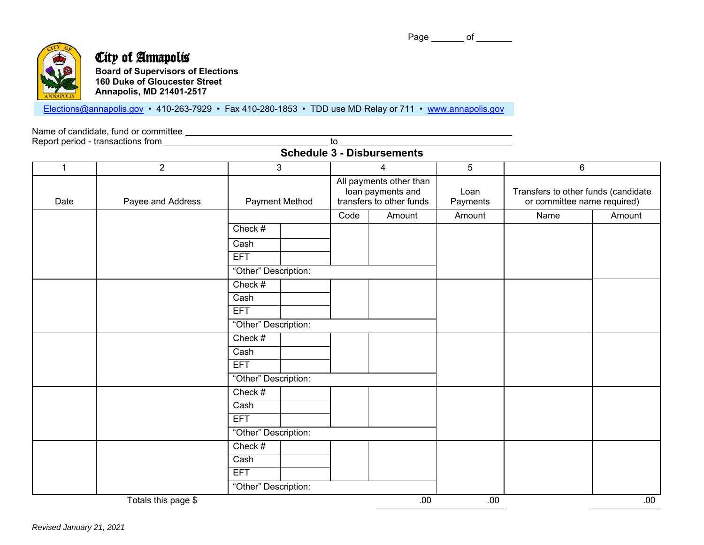Page of



# City of Annapolis

| <b>Board of Supervisors of Elections</b> |
|------------------------------------------|
| <b>160 Duke of Gloucester Street</b>     |
| <b>Annapolis, MD 21401-2517</b>          |

Elections@annapolis.gov • 410-263-7929 • Fax 410-280-1853 • TDD use MD Relay or 711 • www.annapolis.gov

Name of candidate, fund or committee

Report period - transactions from \_\_\_\_\_\_\_\_\_\_\_\_\_\_\_\_\_\_\_\_\_\_\_\_\_\_\_\_\_\_\_\_\_\_\_ to

## **Schedule 3 - Disbursements**

| $\mathbf 1$ | $\overline{2}$      | $\overline{3}$       |                                                                          | $\overline{4}$ | $\overline{5}$   | 6                                                                  |        |
|-------------|---------------------|----------------------|--------------------------------------------------------------------------|----------------|------------------|--------------------------------------------------------------------|--------|
| Date        | Payee and Address   | Payment Method       | All payments other than<br>loan payments and<br>transfers to other funds |                | Loan<br>Payments | Transfers to other funds (candidate<br>or committee name required) |        |
|             |                     |                      | Code                                                                     | Amount         | Amount           | Name                                                               | Amount |
|             |                     | Check #              |                                                                          |                |                  |                                                                    |        |
|             |                     | Cash                 |                                                                          |                |                  |                                                                    |        |
|             |                     | <b>EFT</b>           |                                                                          |                |                  |                                                                    |        |
|             |                     | "Other" Description: |                                                                          |                |                  |                                                                    |        |
|             |                     | Check #              |                                                                          |                |                  |                                                                    |        |
|             |                     | Cash                 |                                                                          |                |                  |                                                                    |        |
|             |                     | <b>EFT</b>           |                                                                          |                |                  |                                                                    |        |
|             |                     | "Other" Description: |                                                                          |                |                  |                                                                    |        |
|             |                     | Check #              |                                                                          |                |                  |                                                                    |        |
|             |                     | Cash                 |                                                                          |                |                  |                                                                    |        |
|             |                     | <b>EFT</b>           |                                                                          |                |                  |                                                                    |        |
|             |                     | "Other" Description: |                                                                          |                |                  |                                                                    |        |
|             |                     | Check #              |                                                                          |                |                  |                                                                    |        |
|             |                     | Cash                 |                                                                          |                |                  |                                                                    |        |
|             |                     | <b>EFT</b>           |                                                                          |                |                  |                                                                    |        |
|             |                     | "Other" Description: |                                                                          |                |                  |                                                                    |        |
|             |                     | Check #              |                                                                          |                |                  |                                                                    |        |
|             |                     | Cash                 |                                                                          |                |                  |                                                                    |        |
|             |                     | <b>EFT</b>           |                                                                          |                |                  |                                                                    |        |
|             |                     | "Other" Description: |                                                                          |                |                  |                                                                    |        |
|             | Totals this page \$ |                      |                                                                          | .00            | .00              |                                                                    | .00    |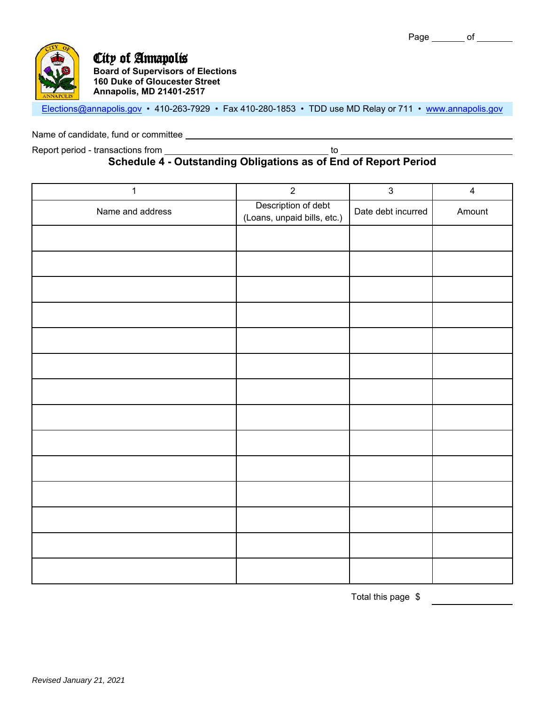

Elections@annapolis.gov • 410-263-7929 • Fax 410-280-1853 • TDD use MD Relay or 711 • www.annapolis.gov

Name of candidate, fund or committee

Report period - transactions from to

### **Schedule 4 - Outstanding Obligations as of End of Report Period**

| $\mathbf 1$      | $\overline{2}$                                     | $\mathbf{3}$       | $\overline{4}$ |
|------------------|----------------------------------------------------|--------------------|----------------|
| Name and address | Description of debt<br>(Loans, unpaid bills, etc.) | Date debt incurred | Amount         |
|                  |                                                    |                    |                |
|                  |                                                    |                    |                |
|                  |                                                    |                    |                |
|                  |                                                    |                    |                |
|                  |                                                    |                    |                |
|                  |                                                    |                    |                |
|                  |                                                    |                    |                |
|                  |                                                    |                    |                |
|                  |                                                    |                    |                |
|                  |                                                    |                    |                |
|                  |                                                    |                    |                |
|                  |                                                    |                    |                |
|                  |                                                    |                    |                |
|                  |                                                    |                    |                |

Total this page \$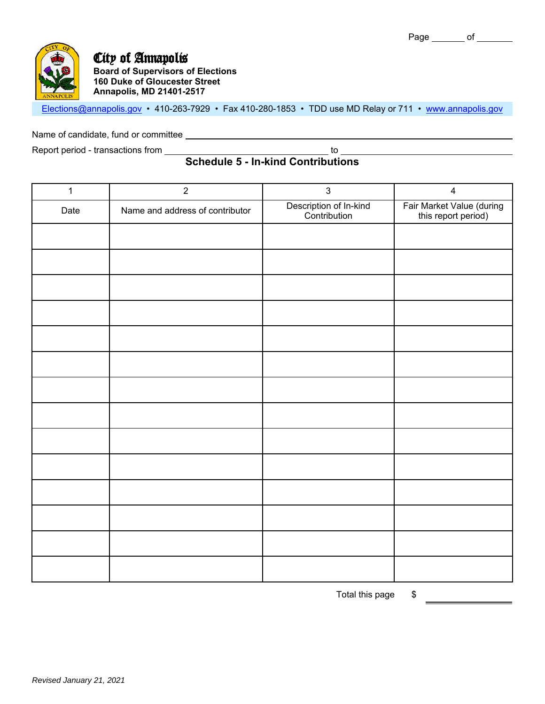

Elections@annapolis.gov • 410-263-7929 • Fax 410-280-1853 • TDD use MD Relay or 711 • www.annapolis.gov

Name of candidate, fund or committee **conditional and constant of conditional condition** 

Report period - transactions from to

## **Schedule 5 - In-kind Contributions**

| $\mathbf{1}$ | $\overline{2}$                  | $\mathbf{3}$                           | $\overline{\mathbf{4}}$                          |
|--------------|---------------------------------|----------------------------------------|--------------------------------------------------|
| Date         | Name and address of contributor | Description of In-kind<br>Contribution | Fair Market Value (during<br>this report period) |
|              |                                 |                                        |                                                  |
|              |                                 |                                        |                                                  |
|              |                                 |                                        |                                                  |
|              |                                 |                                        |                                                  |
|              |                                 |                                        |                                                  |
|              |                                 |                                        |                                                  |
|              |                                 |                                        |                                                  |
|              |                                 |                                        |                                                  |
|              |                                 |                                        |                                                  |
|              |                                 |                                        |                                                  |
|              |                                 |                                        |                                                  |
|              |                                 |                                        |                                                  |
|              |                                 |                                        |                                                  |
|              |                                 |                                        |                                                  |

Total this page \$